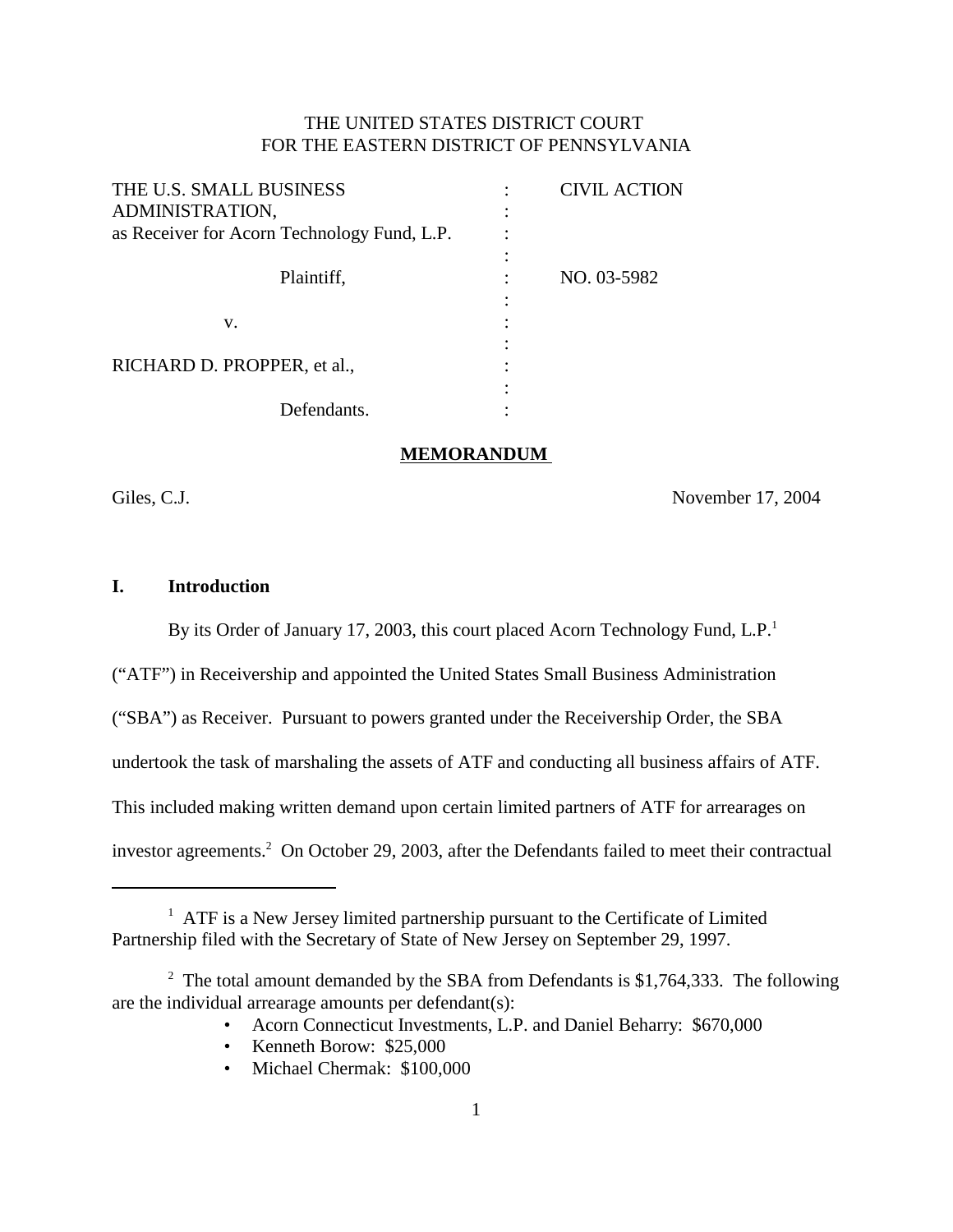## THE UNITED STATES DISTRICT COURT FOR THE EASTERN DISTRICT OF PENNSYLVANIA

| THE U.S. SMALL BUSINESS                     | <b>CIVIL ACTION</b> |
|---------------------------------------------|---------------------|
| ADMINISTRATION,                             |                     |
| as Receiver for Acorn Technology Fund, L.P. |                     |
| Plaintiff,                                  | NO. 03-5982         |
| v.                                          |                     |
|                                             |                     |
| RICHARD D. PROPPER, et al.,                 |                     |
|                                             |                     |
| Defendants.                                 |                     |

#### **MEMORANDUM**

Giles, C.J. November 17, 2004

## **I. Introduction**

By its Order of January 17, 2003, this court placed Acorn Technology Fund, L.P.<sup>1</sup>

("ATF") in Receivership and appointed the United States Small Business Administration

("SBA") as Receiver. Pursuant to powers granted under the Receivership Order, the SBA

undertook the task of marshaling the assets of ATF and conducting all business affairs of ATF.

This included making written demand upon certain limited partners of ATF for arrearages on

investor agreements.<sup>2</sup> On October 29, 2003, after the Defendants failed to meet their contractual

- Acorn Connecticut Investments, L.P. and Daniel Beharry: \$670,000
- Kenneth Borow: \$25,000
- Michael Chermak: \$100,000

<sup>&</sup>lt;sup>1</sup> ATF is a New Jersey limited partnership pursuant to the Certificate of Limited Partnership filed with the Secretary of State of New Jersey on September 29, 1997.

<sup>&</sup>lt;sup>2</sup> The total amount demanded by the SBA from Defendants is \$1,764,333. The following are the individual arrearage amounts per defendant(s):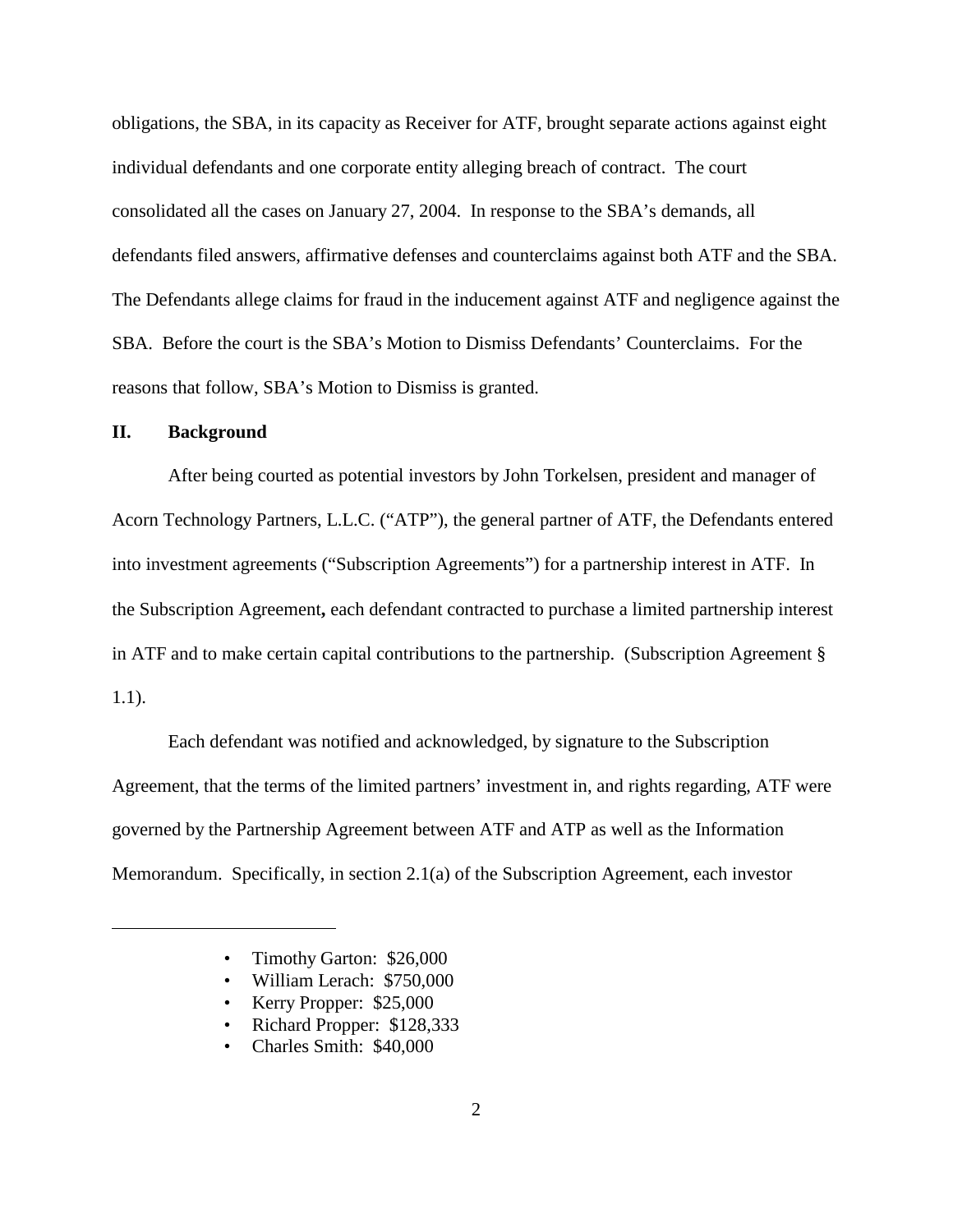obligations, the SBA, in its capacity as Receiver for ATF, brought separate actions against eight individual defendants and one corporate entity alleging breach of contract. The court consolidated all the cases on January 27, 2004. In response to the SBA's demands, all defendants filed answers, affirmative defenses and counterclaims against both ATF and the SBA. The Defendants allege claims for fraud in the inducement against ATF and negligence against the SBA. Before the court is the SBA's Motion to Dismiss Defendants' Counterclaims. For the reasons that follow, SBA's Motion to Dismiss is granted.

#### **II. Background**

After being courted as potential investors by John Torkelsen, president and manager of Acorn Technology Partners, L.L.C. ("ATP"), the general partner of ATF, the Defendants entered into investment agreements ("Subscription Agreements") for a partnership interest in ATF. In the Subscription Agreement**,** each defendant contracted to purchase a limited partnership interest in ATF and to make certain capital contributions to the partnership. (Subscription Agreement § 1.1).

Each defendant was notified and acknowledged, by signature to the Subscription Agreement, that the terms of the limited partners' investment in, and rights regarding, ATF were governed by the Partnership Agreement between ATF and ATP as well as the Information Memorandum. Specifically, in section 2.1(a) of the Subscription Agreement, each investor

- Timothy Garton: \$26,000
- William Lerach: \$750,000
- Kerry Propper: \$25,000
- Richard Propper: \$128,333
- Charles Smith: \$40,000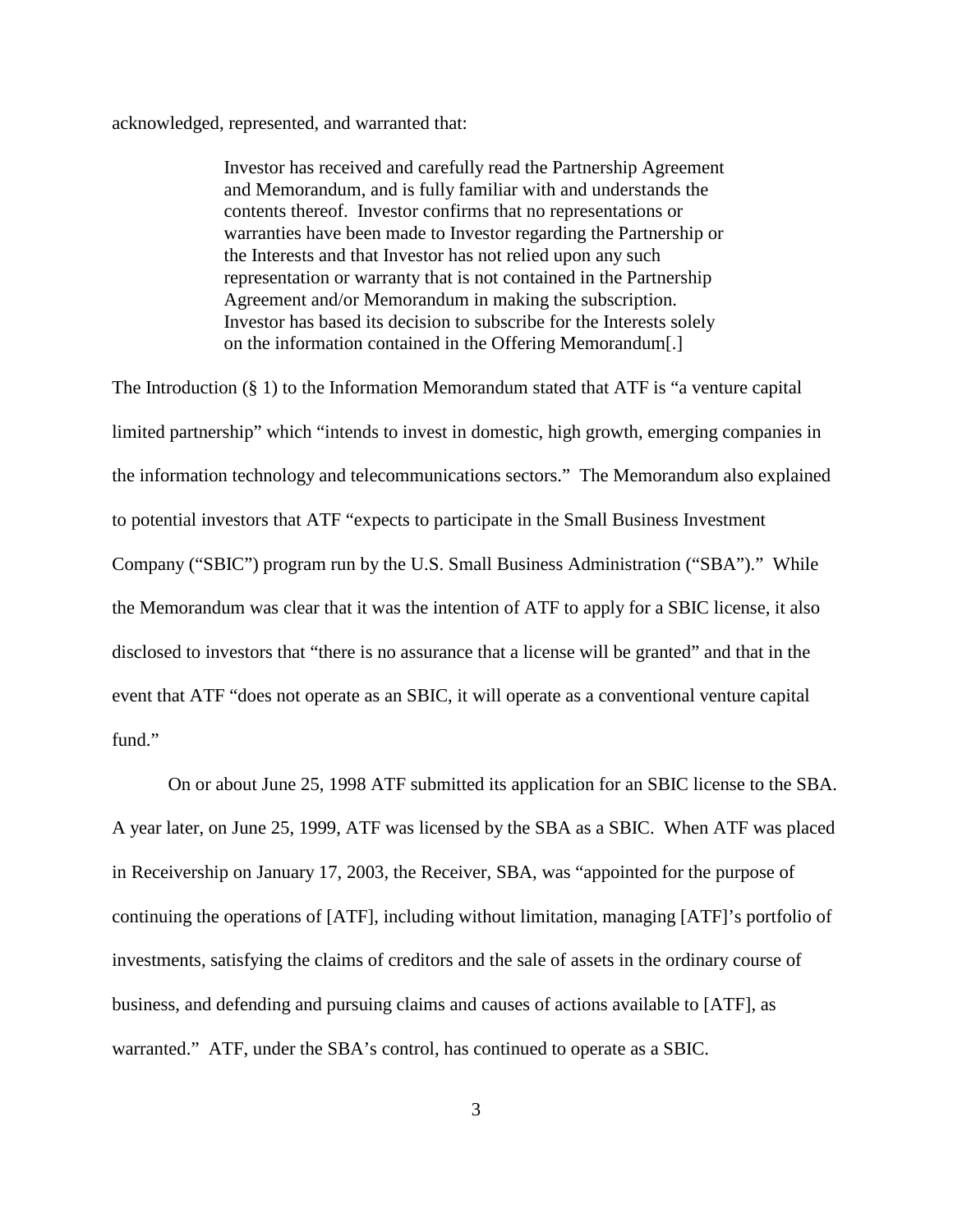acknowledged, represented, and warranted that:

Investor has received and carefully read the Partnership Agreement and Memorandum, and is fully familiar with and understands the contents thereof. Investor confirms that no representations or warranties have been made to Investor regarding the Partnership or the Interests and that Investor has not relied upon any such representation or warranty that is not contained in the Partnership Agreement and/or Memorandum in making the subscription. Investor has based its decision to subscribe for the Interests solely on the information contained in the Offering Memorandum[.]

The Introduction (§ 1) to the Information Memorandum stated that ATF is "a venture capital limited partnership" which "intends to invest in domestic, high growth, emerging companies in the information technology and telecommunications sectors." The Memorandum also explained to potential investors that ATF "expects to participate in the Small Business Investment Company ("SBIC") program run by the U.S. Small Business Administration ("SBA")." While the Memorandum was clear that it was the intention of ATF to apply for a SBIC license, it also disclosed to investors that "there is no assurance that a license will be granted" and that in the event that ATF "does not operate as an SBIC, it will operate as a conventional venture capital fund."

On or about June 25, 1998 ATF submitted its application for an SBIC license to the SBA. A year later, on June 25, 1999, ATF was licensed by the SBA as a SBIC. When ATF was placed in Receivership on January 17, 2003, the Receiver, SBA, was "appointed for the purpose of continuing the operations of [ATF], including without limitation, managing [ATF]'s portfolio of investments, satisfying the claims of creditors and the sale of assets in the ordinary course of business, and defending and pursuing claims and causes of actions available to [ATF], as warranted." ATF, under the SBA's control, has continued to operate as a SBIC.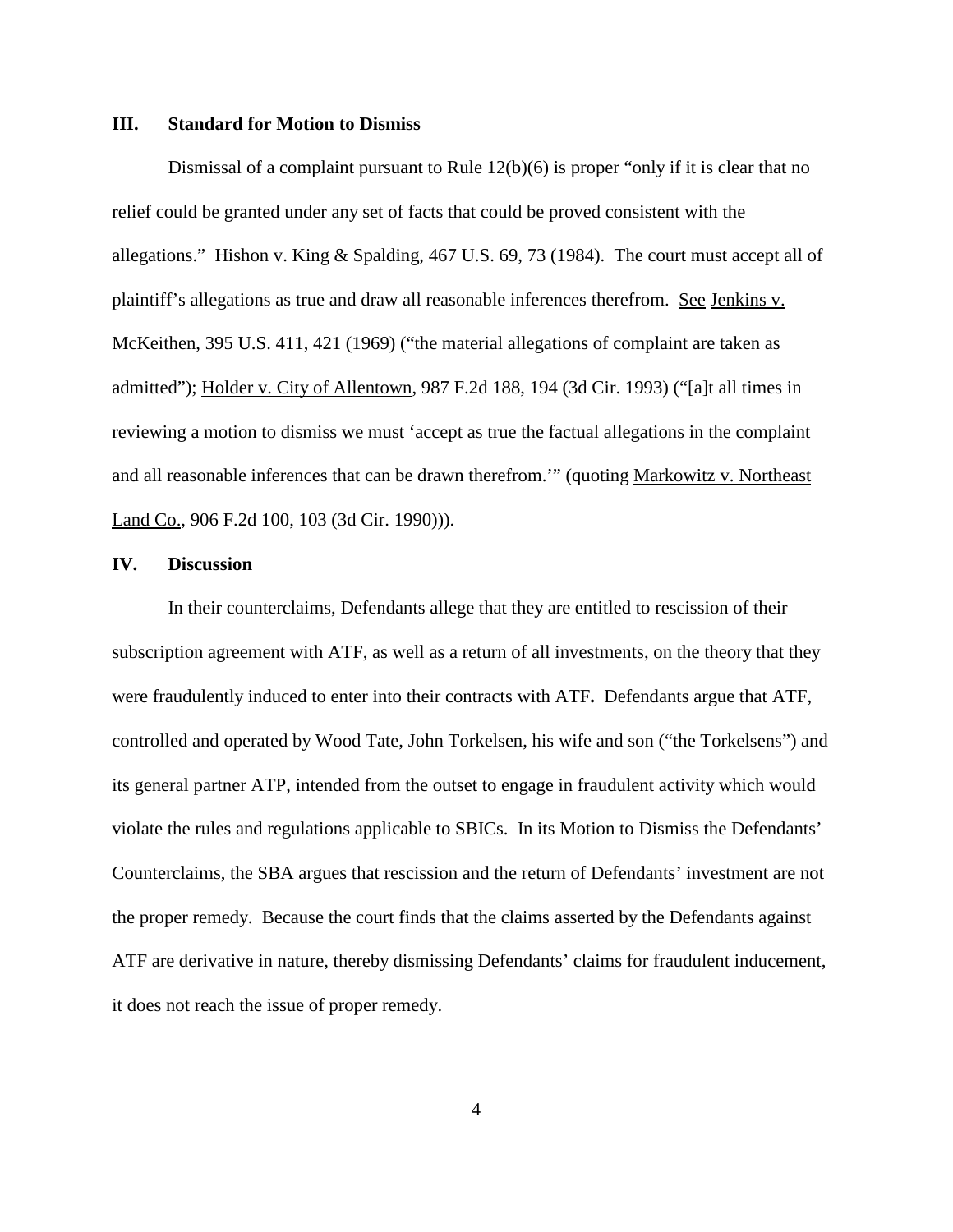### **III. Standard for Motion to Dismiss**

Dismissal of a complaint pursuant to Rule  $12(b)(6)$  is proper "only if it is clear that no relief could be granted under any set of facts that could be proved consistent with the allegations." Hishon v. King & Spalding, 467 U.S. 69, 73 (1984). The court must accept all of plaintiff's allegations as true and draw all reasonable inferences therefrom. See Jenkins v. McKeithen, 395 U.S. 411, 421 (1969) ("the material allegations of complaint are taken as admitted"); Holder v. City of Allentown, 987 F.2d 188, 194 (3d Cir. 1993) ("[a]t all times in reviewing a motion to dismiss we must 'accept as true the factual allegations in the complaint and all reasonable inferences that can be drawn therefrom.'" (quoting Markowitz v. Northeast Land Co., 906 F.2d 100, 103 (3d Cir. 1990))).

## **IV. Discussion**

In their counterclaims, Defendants allege that they are entitled to rescission of their subscription agreement with ATF, as well as a return of all investments, on the theory that they were fraudulently induced to enter into their contracts with ATF**.** Defendants argue that ATF, controlled and operated by Wood Tate, John Torkelsen, his wife and son ("the Torkelsens") and its general partner ATP, intended from the outset to engage in fraudulent activity which would violate the rules and regulations applicable to SBICs. In its Motion to Dismiss the Defendants' Counterclaims, the SBA argues that rescission and the return of Defendants' investment are not the proper remedy. Because the court finds that the claims asserted by the Defendants against ATF are derivative in nature, thereby dismissing Defendants' claims for fraudulent inducement, it does not reach the issue of proper remedy.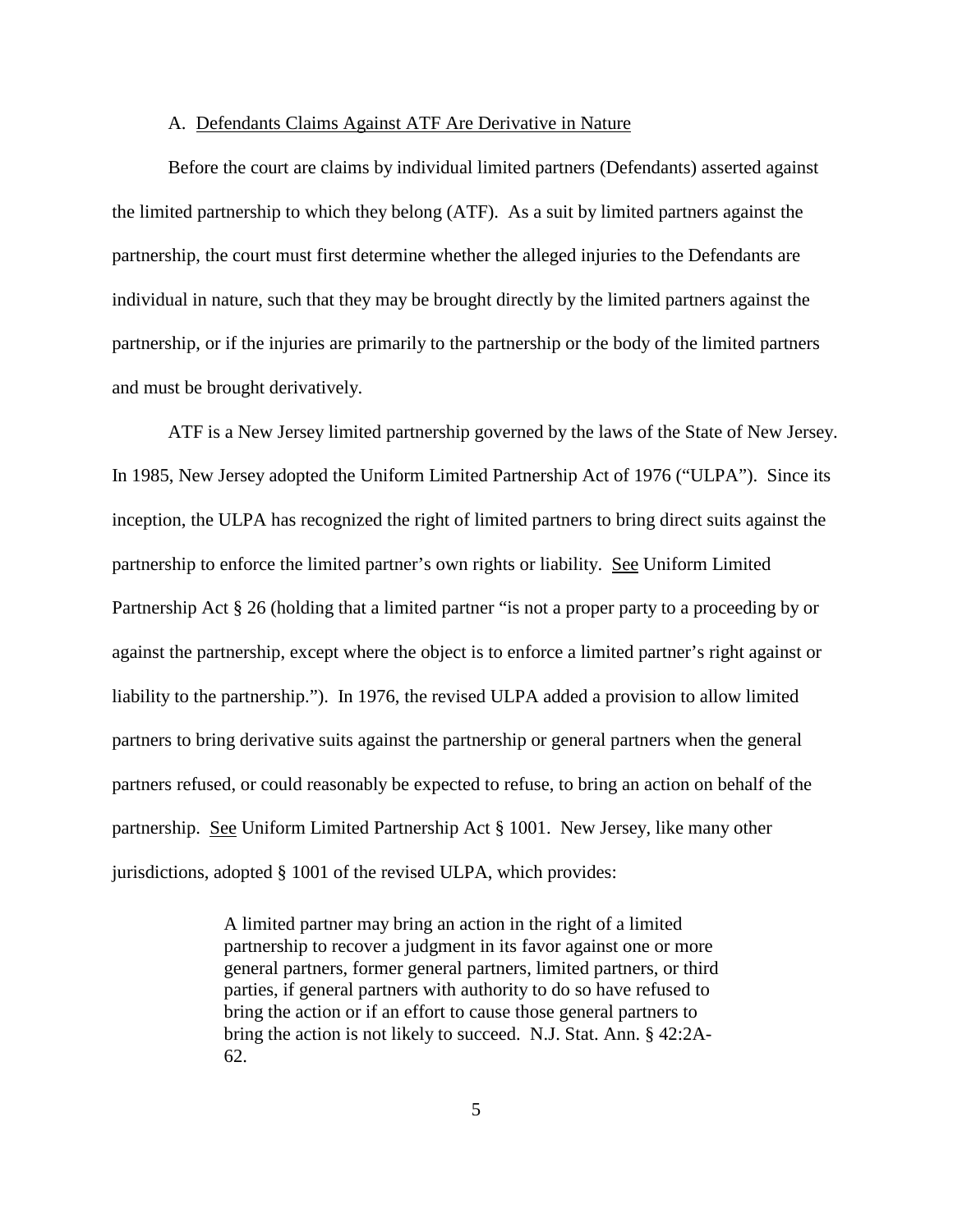#### A. Defendants Claims Against ATF Are Derivative in Nature

Before the court are claims by individual limited partners (Defendants) asserted against the limited partnership to which they belong (ATF). As a suit by limited partners against the partnership, the court must first determine whether the alleged injuries to the Defendants are individual in nature, such that they may be brought directly by the limited partners against the partnership, or if the injuries are primarily to the partnership or the body of the limited partners and must be brought derivatively.

ATF is a New Jersey limited partnership governed by the laws of the State of New Jersey. In 1985, New Jersey adopted the Uniform Limited Partnership Act of 1976 ("ULPA"). Since its inception, the ULPA has recognized the right of limited partners to bring direct suits against the partnership to enforce the limited partner's own rights or liability. See Uniform Limited Partnership Act § 26 (holding that a limited partner "is not a proper party to a proceeding by or against the partnership, except where the object is to enforce a limited partner's right against or liability to the partnership."). In 1976, the revised ULPA added a provision to allow limited partners to bring derivative suits against the partnership or general partners when the general partners refused, or could reasonably be expected to refuse, to bring an action on behalf of the partnership. See Uniform Limited Partnership Act § 1001. New Jersey, like many other jurisdictions, adopted § 1001 of the revised ULPA, which provides:

> A limited partner may bring an action in the right of a limited partnership to recover a judgment in its favor against one or more general partners, former general partners, limited partners, or third parties, if general partners with authority to do so have refused to bring the action or if an effort to cause those general partners to bring the action is not likely to succeed. N.J. Stat. Ann. § 42:2A-62.

> > 5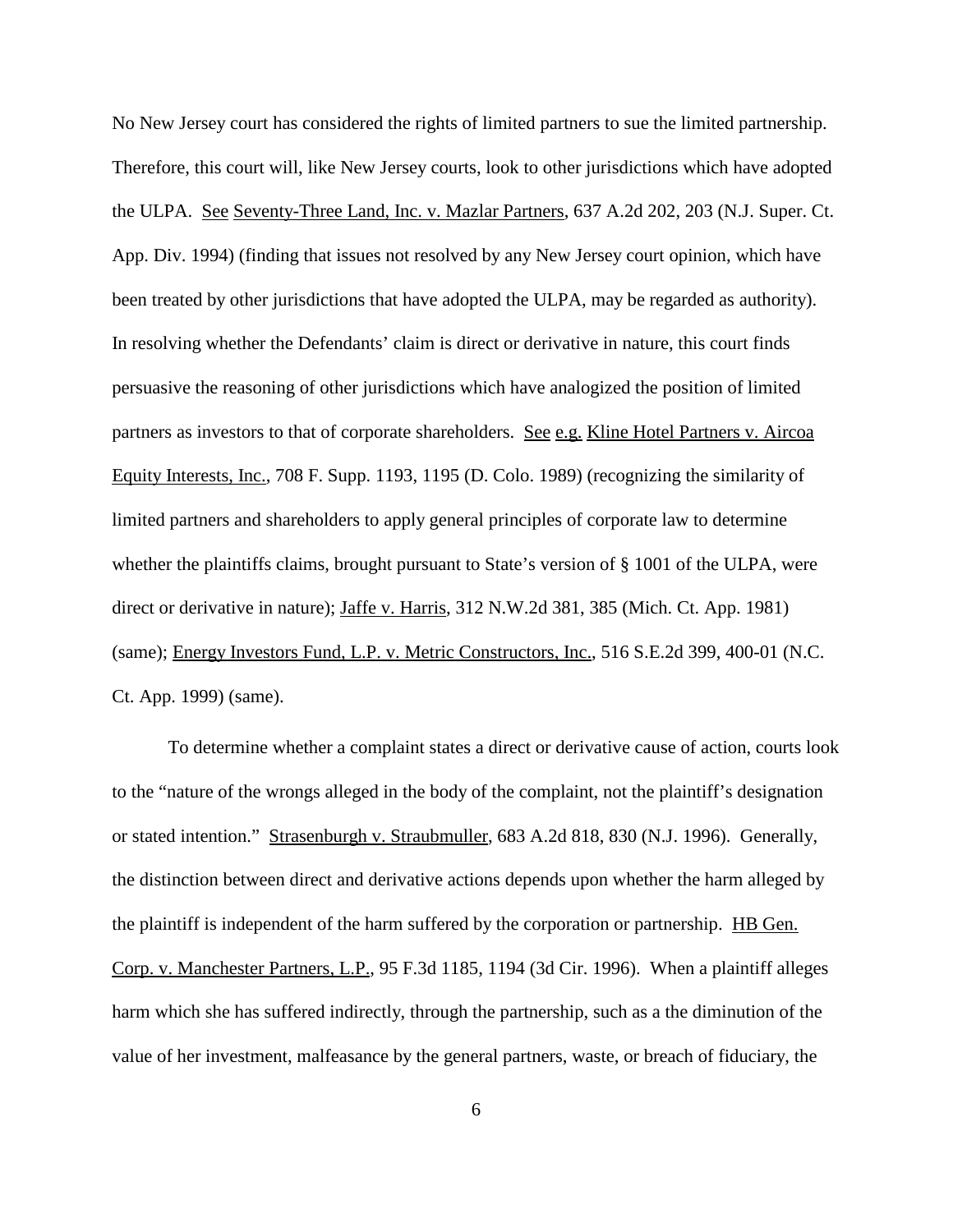No New Jersey court has considered the rights of limited partners to sue the limited partnership. Therefore, this court will, like New Jersey courts, look to other jurisdictions which have adopted the ULPA. See Seventy-Three Land, Inc. v. Mazlar Partners, 637 A.2d 202, 203 (N.J. Super. Ct. App. Div. 1994) (finding that issues not resolved by any New Jersey court opinion, which have been treated by other jurisdictions that have adopted the ULPA, may be regarded as authority). In resolving whether the Defendants' claim is direct or derivative in nature, this court finds persuasive the reasoning of other jurisdictions which have analogized the position of limited partners as investors to that of corporate shareholders. See e.g. Kline Hotel Partners v. Aircoa Equity Interests, Inc., 708 F. Supp. 1193, 1195 (D. Colo. 1989) (recognizing the similarity of limited partners and shareholders to apply general principles of corporate law to determine whether the plaintiffs claims, brought pursuant to State's version of § 1001 of the ULPA, were direct or derivative in nature); Jaffe v. Harris, 312 N.W.2d 381, 385 (Mich. Ct. App. 1981) (same); Energy Investors Fund, L.P. v. Metric Constructors, Inc., 516 S.E.2d 399, 400-01 (N.C. Ct. App. 1999) (same).

To determine whether a complaint states a direct or derivative cause of action, courts look to the "nature of the wrongs alleged in the body of the complaint, not the plaintiff's designation or stated intention." Strasenburgh v. Straubmuller, 683 A.2d 818, 830 (N.J. 1996). Generally, the distinction between direct and derivative actions depends upon whether the harm alleged by the plaintiff is independent of the harm suffered by the corporation or partnership. HB Gen. Corp. v. Manchester Partners, L.P., 95 F.3d 1185, 1194 (3d Cir. 1996). When a plaintiff alleges harm which she has suffered indirectly, through the partnership, such as a the diminution of the value of her investment, malfeasance by the general partners, waste, or breach of fiduciary, the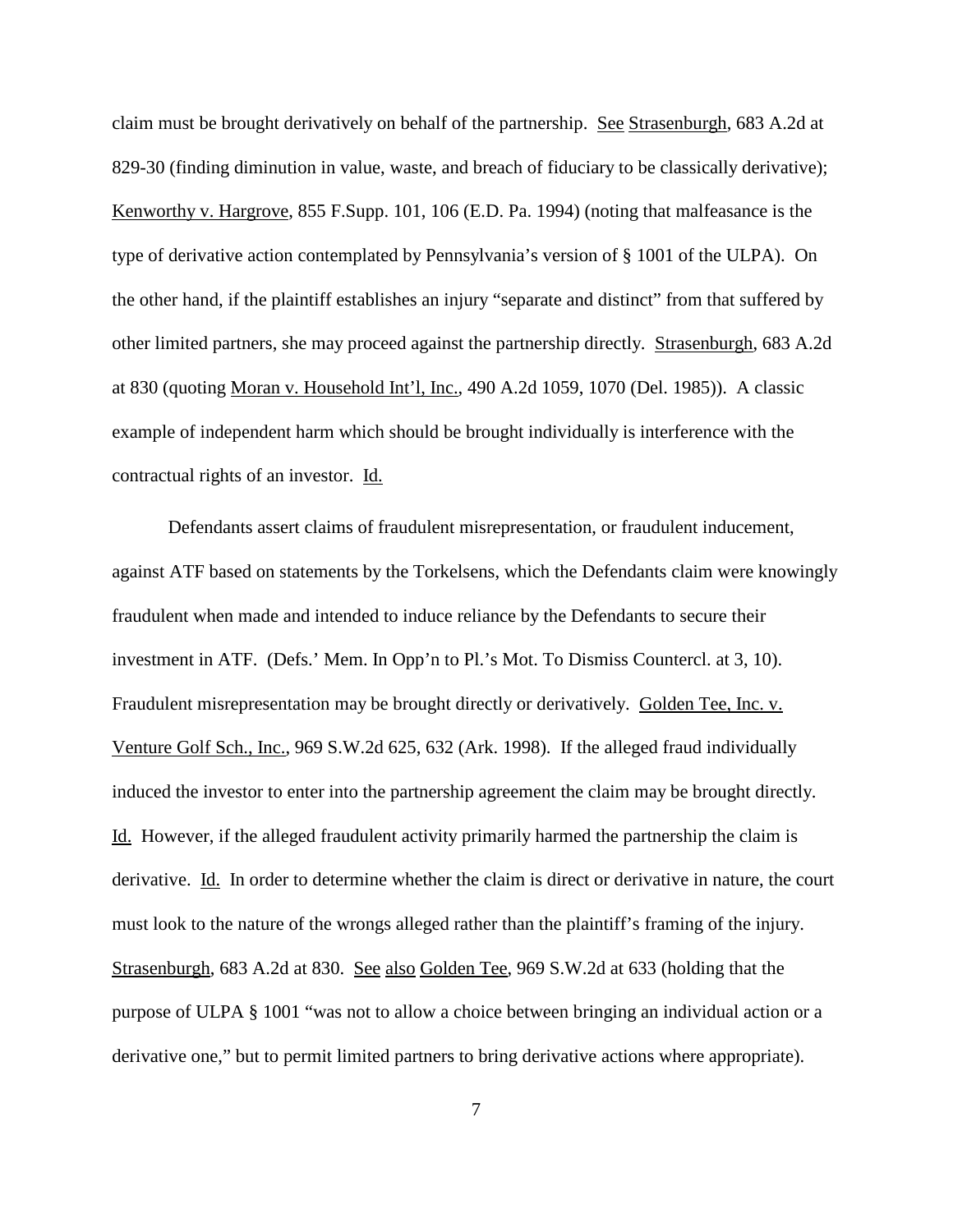claim must be brought derivatively on behalf of the partnership. See Strasenburgh, 683 A.2d at 829-30 (finding diminution in value, waste, and breach of fiduciary to be classically derivative); Kenworthy v. Hargrove, 855 F.Supp. 101, 106 (E.D. Pa. 1994) (noting that malfeasance is the type of derivative action contemplated by Pennsylvania's version of § 1001 of the ULPA). On the other hand, if the plaintiff establishes an injury "separate and distinct" from that suffered by other limited partners, she may proceed against the partnership directly. Strasenburgh, 683 A.2d at 830 (quoting Moran v. Household Int'l, Inc., 490 A.2d 1059, 1070 (Del. 1985)). A classic example of independent harm which should be brought individually is interference with the contractual rights of an investor. Id.

Defendants assert claims of fraudulent misrepresentation, or fraudulent inducement, against ATF based on statements by the Torkelsens, which the Defendants claim were knowingly fraudulent when made and intended to induce reliance by the Defendants to secure their investment in ATF. (Defs.' Mem. In Opp'n to Pl.'s Mot. To Dismiss Countercl. at 3, 10). Fraudulent misrepresentation may be brought directly or derivatively. Golden Tee, Inc. v. Venture Golf Sch., Inc., 969 S.W.2d 625, 632 (Ark. 1998). If the alleged fraud individually induced the investor to enter into the partnership agreement the claim may be brought directly. Id. However, if the alleged fraudulent activity primarily harmed the partnership the claim is derivative. Id. In order to determine whether the claim is direct or derivative in nature, the court must look to the nature of the wrongs alleged rather than the plaintiff's framing of the injury. Strasenburgh, 683 A.2d at 830. See also Golden Tee, 969 S.W.2d at 633 (holding that the purpose of ULPA § 1001 "was not to allow a choice between bringing an individual action or a derivative one," but to permit limited partners to bring derivative actions where appropriate).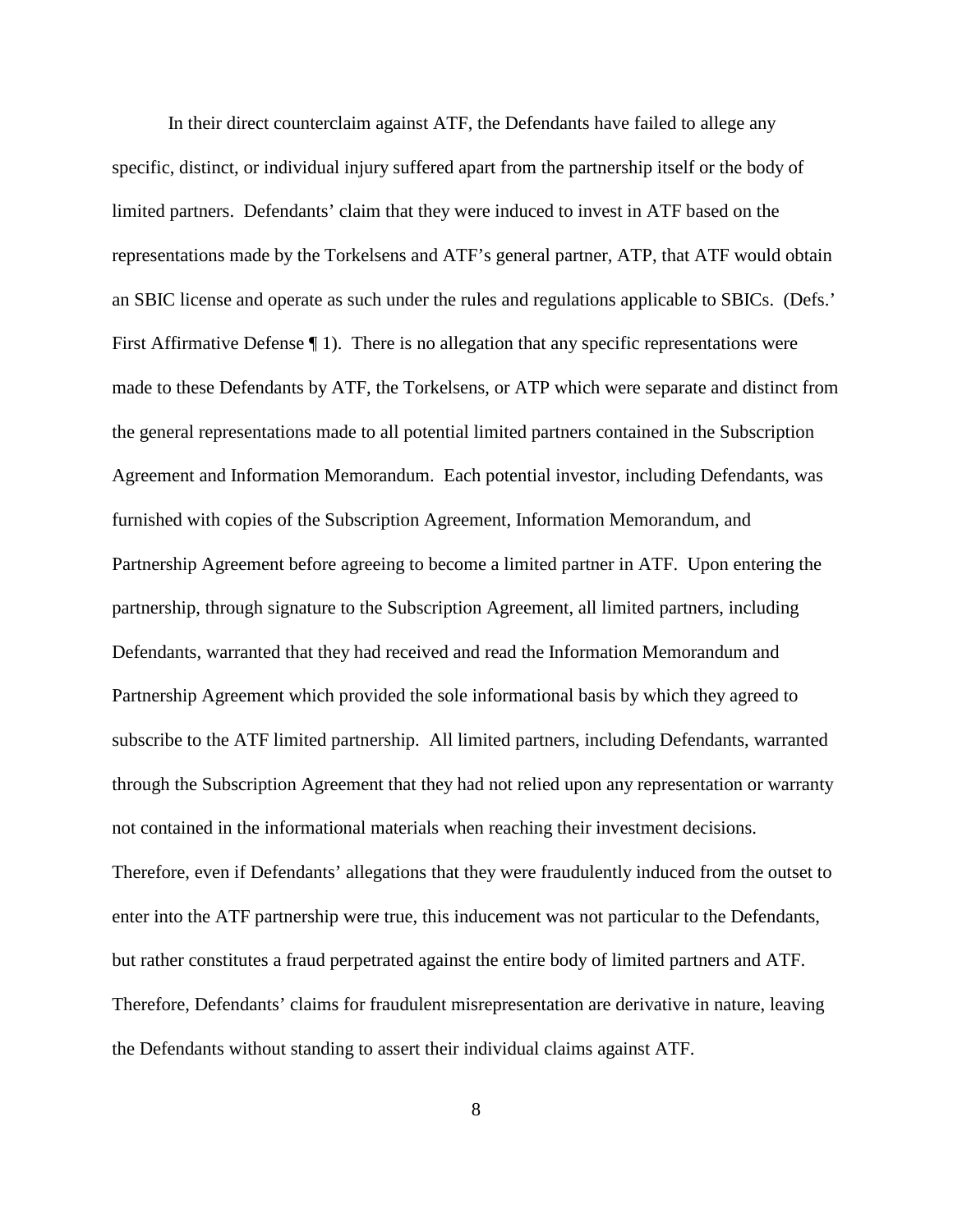In their direct counterclaim against ATF, the Defendants have failed to allege any specific, distinct, or individual injury suffered apart from the partnership itself or the body of limited partners. Defendants' claim that they were induced to invest in ATF based on the representations made by the Torkelsens and ATF's general partner, ATP, that ATF would obtain an SBIC license and operate as such under the rules and regulations applicable to SBICs. (Defs.' First Affirmative Defense ¶ 1). There is no allegation that any specific representations were made to these Defendants by ATF, the Torkelsens, or ATP which were separate and distinct from the general representations made to all potential limited partners contained in the Subscription Agreement and Information Memorandum. Each potential investor, including Defendants, was furnished with copies of the Subscription Agreement, Information Memorandum, and Partnership Agreement before agreeing to become a limited partner in ATF. Upon entering the partnership, through signature to the Subscription Agreement, all limited partners, including Defendants, warranted that they had received and read the Information Memorandum and Partnership Agreement which provided the sole informational basis by which they agreed to subscribe to the ATF limited partnership. All limited partners, including Defendants, warranted through the Subscription Agreement that they had not relied upon any representation or warranty not contained in the informational materials when reaching their investment decisions. Therefore, even if Defendants' allegations that they were fraudulently induced from the outset to enter into the ATF partnership were true, this inducement was not particular to the Defendants, but rather constitutes a fraud perpetrated against the entire body of limited partners and ATF. Therefore, Defendants' claims for fraudulent misrepresentation are derivative in nature, leaving the Defendants without standing to assert their individual claims against ATF.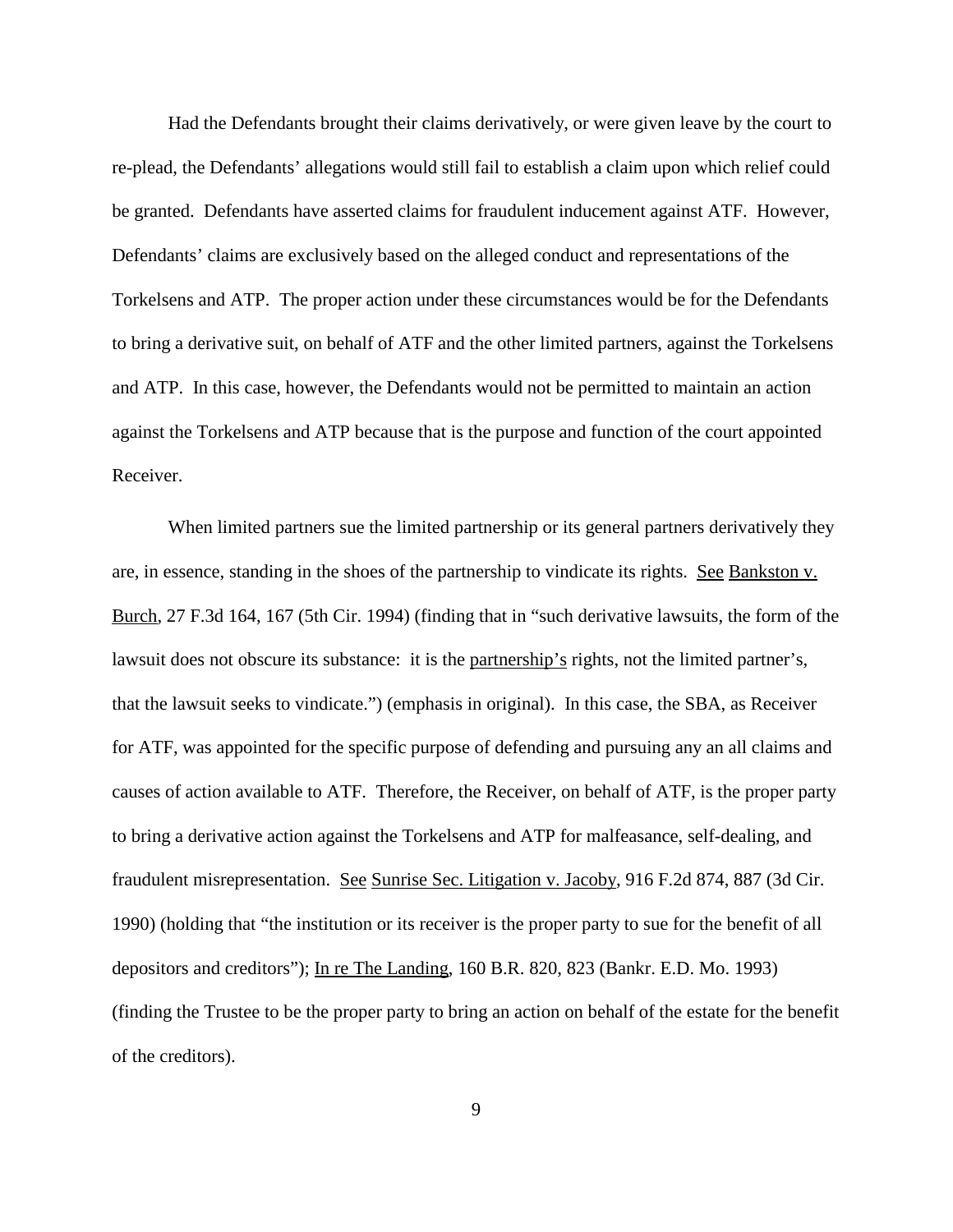Had the Defendants brought their claims derivatively, or were given leave by the court to re-plead, the Defendants' allegations would still fail to establish a claim upon which relief could be granted. Defendants have asserted claims for fraudulent inducement against ATF. However, Defendants' claims are exclusively based on the alleged conduct and representations of the Torkelsens and ATP. The proper action under these circumstances would be for the Defendants to bring a derivative suit, on behalf of ATF and the other limited partners, against the Torkelsens and ATP. In this case, however, the Defendants would not be permitted to maintain an action against the Torkelsens and ATP because that is the purpose and function of the court appointed Receiver.

When limited partners sue the limited partnership or its general partners derivatively they are, in essence, standing in the shoes of the partnership to vindicate its rights. See Bankston v. Burch, 27 F.3d 164, 167 (5th Cir. 1994) (finding that in "such derivative lawsuits, the form of the lawsuit does not obscure its substance: it is the partnership's rights, not the limited partner's, that the lawsuit seeks to vindicate.") (emphasis in original). In this case, the SBA, as Receiver for ATF, was appointed for the specific purpose of defending and pursuing any an all claims and causes of action available to ATF. Therefore, the Receiver, on behalf of ATF, is the proper party to bring a derivative action against the Torkelsens and ATP for malfeasance, self-dealing, and fraudulent misrepresentation. See Sunrise Sec. Litigation v. Jacoby, 916 F.2d 874, 887 (3d Cir. 1990) (holding that "the institution or its receiver is the proper party to sue for the benefit of all depositors and creditors"); In re The Landing, 160 B.R. 820, 823 (Bankr. E.D. Mo. 1993) (finding the Trustee to be the proper party to bring an action on behalf of the estate for the benefit of the creditors).

9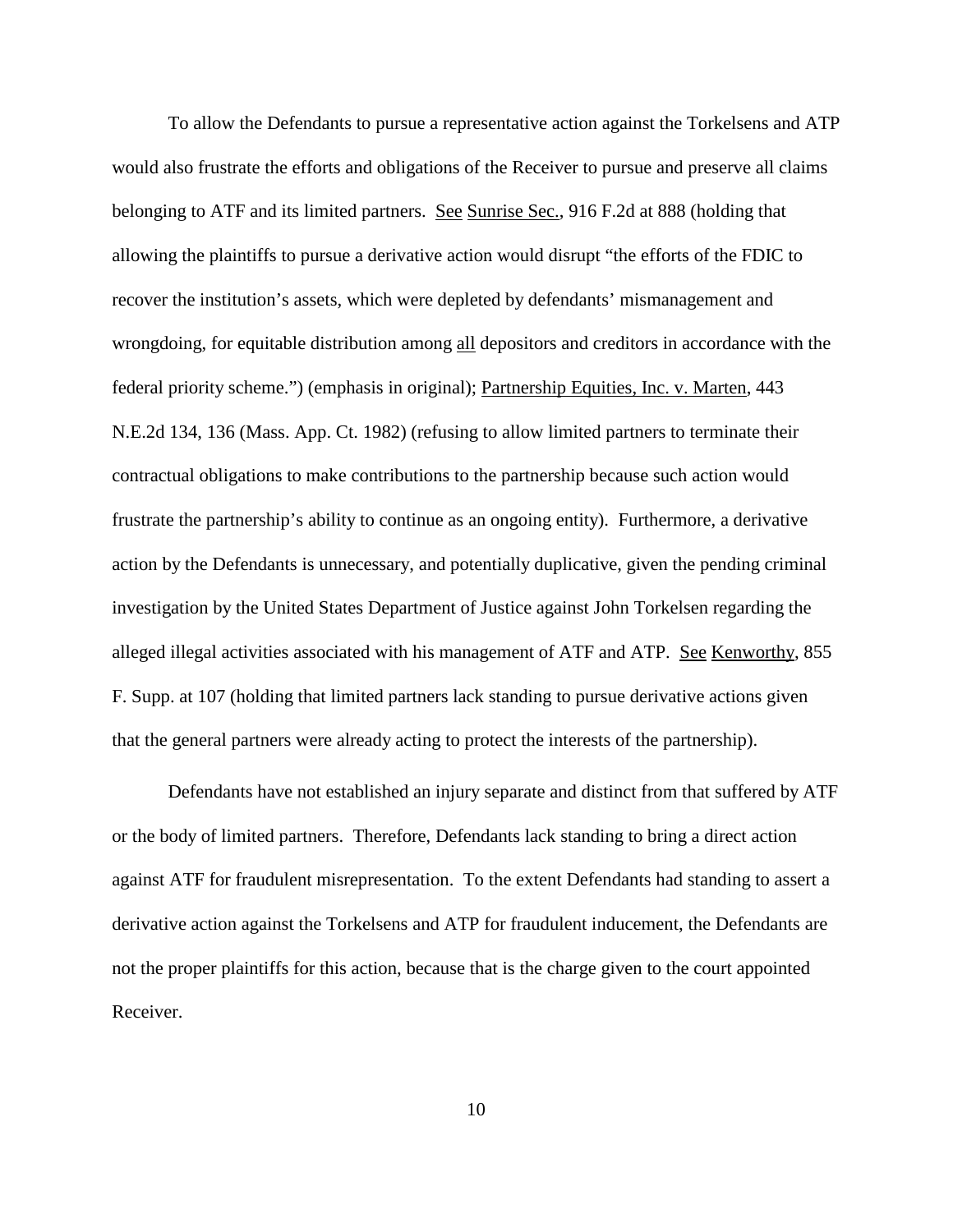To allow the Defendants to pursue a representative action against the Torkelsens and ATP would also frustrate the efforts and obligations of the Receiver to pursue and preserve all claims belonging to ATF and its limited partners. See Sunrise Sec., 916 F.2d at 888 (holding that allowing the plaintiffs to pursue a derivative action would disrupt "the efforts of the FDIC to recover the institution's assets, which were depleted by defendants' mismanagement and wrongdoing, for equitable distribution among all depositors and creditors in accordance with the federal priority scheme.") (emphasis in original); Partnership Equities, Inc. v. Marten, 443 N.E.2d 134, 136 (Mass. App. Ct. 1982) (refusing to allow limited partners to terminate their contractual obligations to make contributions to the partnership because such action would frustrate the partnership's ability to continue as an ongoing entity). Furthermore, a derivative action by the Defendants is unnecessary, and potentially duplicative, given the pending criminal investigation by the United States Department of Justice against John Torkelsen regarding the alleged illegal activities associated with his management of ATF and ATP. See Kenworthy, 855 F. Supp. at 107 (holding that limited partners lack standing to pursue derivative actions given that the general partners were already acting to protect the interests of the partnership).

Defendants have not established an injury separate and distinct from that suffered by ATF or the body of limited partners. Therefore, Defendants lack standing to bring a direct action against ATF for fraudulent misrepresentation. To the extent Defendants had standing to assert a derivative action against the Torkelsens and ATP for fraudulent inducement, the Defendants are not the proper plaintiffs for this action, because that is the charge given to the court appointed Receiver.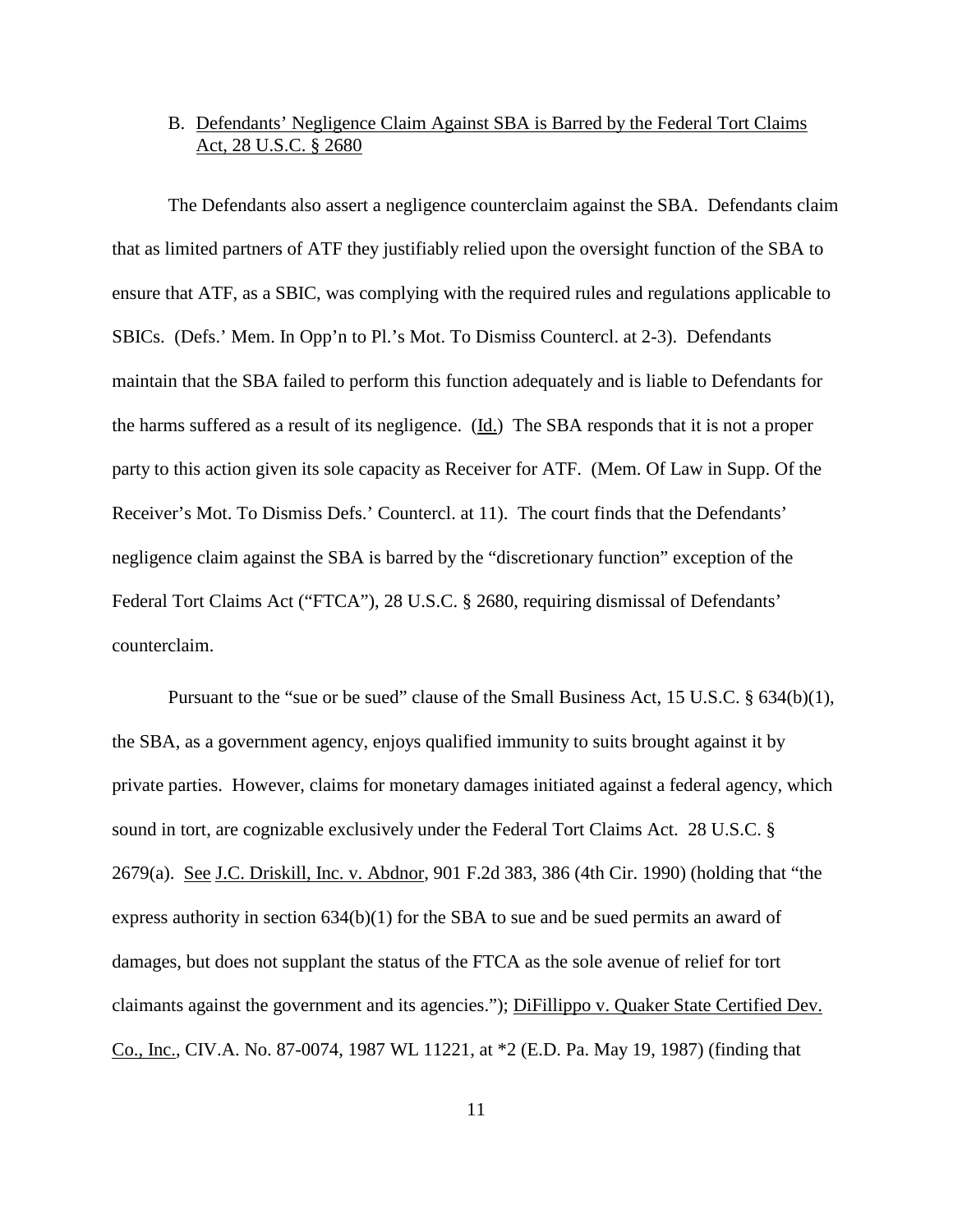# B. Defendants' Negligence Claim Against SBA is Barred by the Federal Tort Claims Act, 28 U.S.C. § 2680

The Defendants also assert a negligence counterclaim against the SBA. Defendants claim that as limited partners of ATF they justifiably relied upon the oversight function of the SBA to ensure that ATF, as a SBIC, was complying with the required rules and regulations applicable to SBICs. (Defs.' Mem. In Opp'n to Pl.'s Mot. To Dismiss Countercl. at 2-3). Defendants maintain that the SBA failed to perform this function adequately and is liable to Defendants for the harms suffered as a result of its negligence. (Id.) The SBA responds that it is not a proper party to this action given its sole capacity as Receiver for ATF. (Mem. Of Law in Supp. Of the Receiver's Mot. To Dismiss Defs.' Countercl. at 11). The court finds that the Defendants' negligence claim against the SBA is barred by the "discretionary function" exception of the Federal Tort Claims Act ("FTCA"), 28 U.S.C. § 2680, requiring dismissal of Defendants' counterclaim.

Pursuant to the "sue or be sued" clause of the Small Business Act, 15 U.S.C. § 634(b)(1), the SBA, as a government agency, enjoys qualified immunity to suits brought against it by private parties. However, claims for monetary damages initiated against a federal agency, which sound in tort, are cognizable exclusively under the Federal Tort Claims Act. 28 U.S.C. § 2679(a). See J.C. Driskill, Inc. v. Abdnor, 901 F.2d 383, 386 (4th Cir. 1990) (holding that "the express authority in section 634(b)(1) for the SBA to sue and be sued permits an award of damages, but does not supplant the status of the FTCA as the sole avenue of relief for tort claimants against the government and its agencies."); DiFillippo v. Quaker State Certified Dev. Co., Inc., CIV.A. No. 87-0074, 1987 WL 11221, at \*2 (E.D. Pa. May 19, 1987) (finding that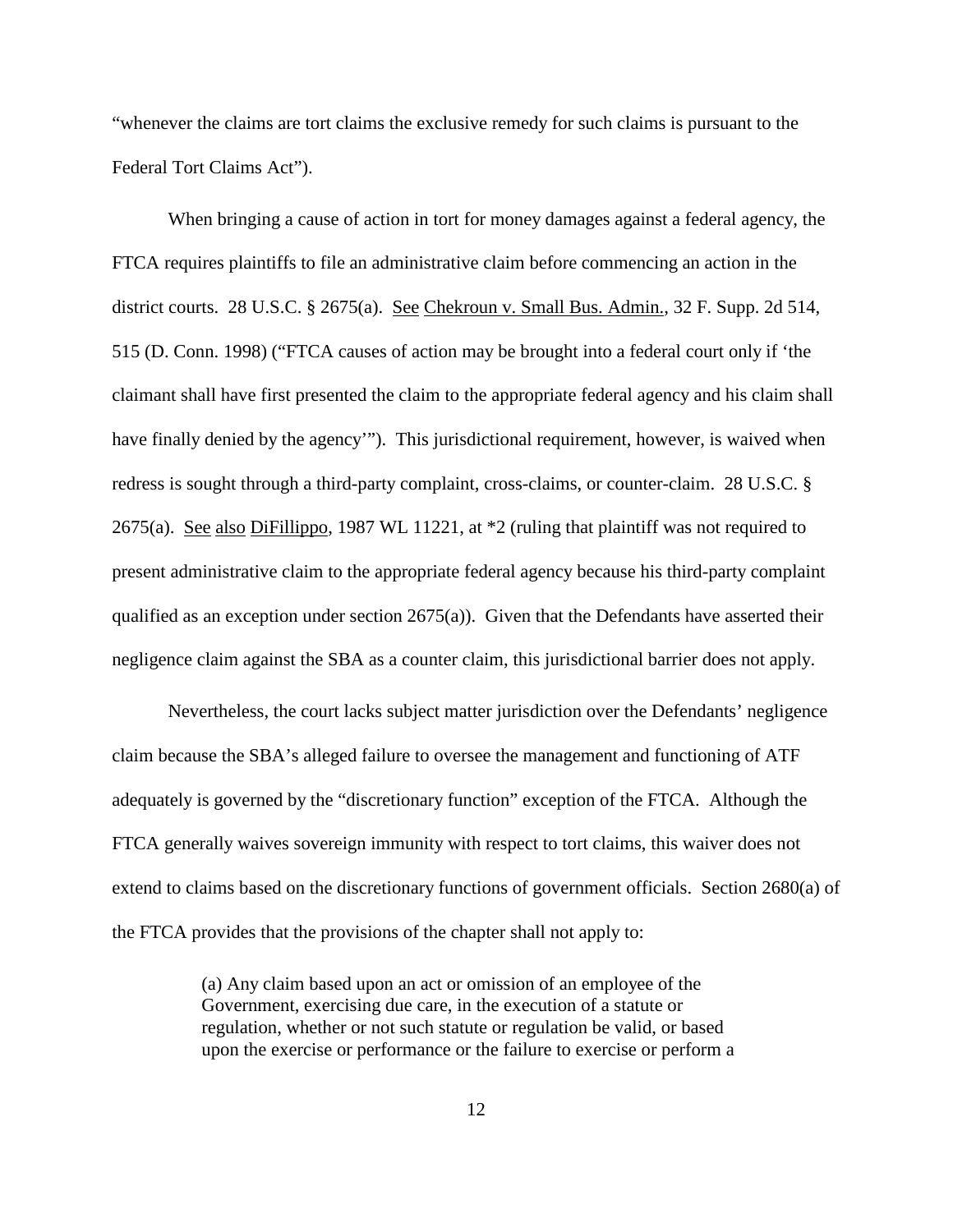"whenever the claims are tort claims the exclusive remedy for such claims is pursuant to the Federal Tort Claims Act").

When bringing a cause of action in tort for money damages against a federal agency, the FTCA requires plaintiffs to file an administrative claim before commencing an action in the district courts. 28 U.S.C. § 2675(a). See Chekroun v. Small Bus. Admin., 32 F. Supp. 2d 514, 515 (D. Conn. 1998) ("FTCA causes of action may be brought into a federal court only if 'the claimant shall have first presented the claim to the appropriate federal agency and his claim shall have finally denied by the agency""). This jurisdictional requirement, however, is waived when redress is sought through a third-party complaint, cross-claims, or counter-claim. 28 U.S.C. § 2675(a). See also DiFillippo, 1987 WL 11221, at \*2 (ruling that plaintiff was not required to present administrative claim to the appropriate federal agency because his third-party complaint qualified as an exception under section 2675(a)). Given that the Defendants have asserted their negligence claim against the SBA as a counter claim, this jurisdictional barrier does not apply.

Nevertheless, the court lacks subject matter jurisdiction over the Defendants' negligence claim because the SBA's alleged failure to oversee the management and functioning of ATF adequately is governed by the "discretionary function" exception of the FTCA. Although the FTCA generally waives sovereign immunity with respect to tort claims, this waiver does not extend to claims based on the discretionary functions of government officials. Section 2680(a) of the FTCA provides that the provisions of the chapter shall not apply to:

> (a) Any claim based upon an act or omission of an employee of the Government, exercising due care, in the execution of a statute or regulation, whether or not such statute or regulation be valid, or based upon the exercise or performance or the failure to exercise or perform a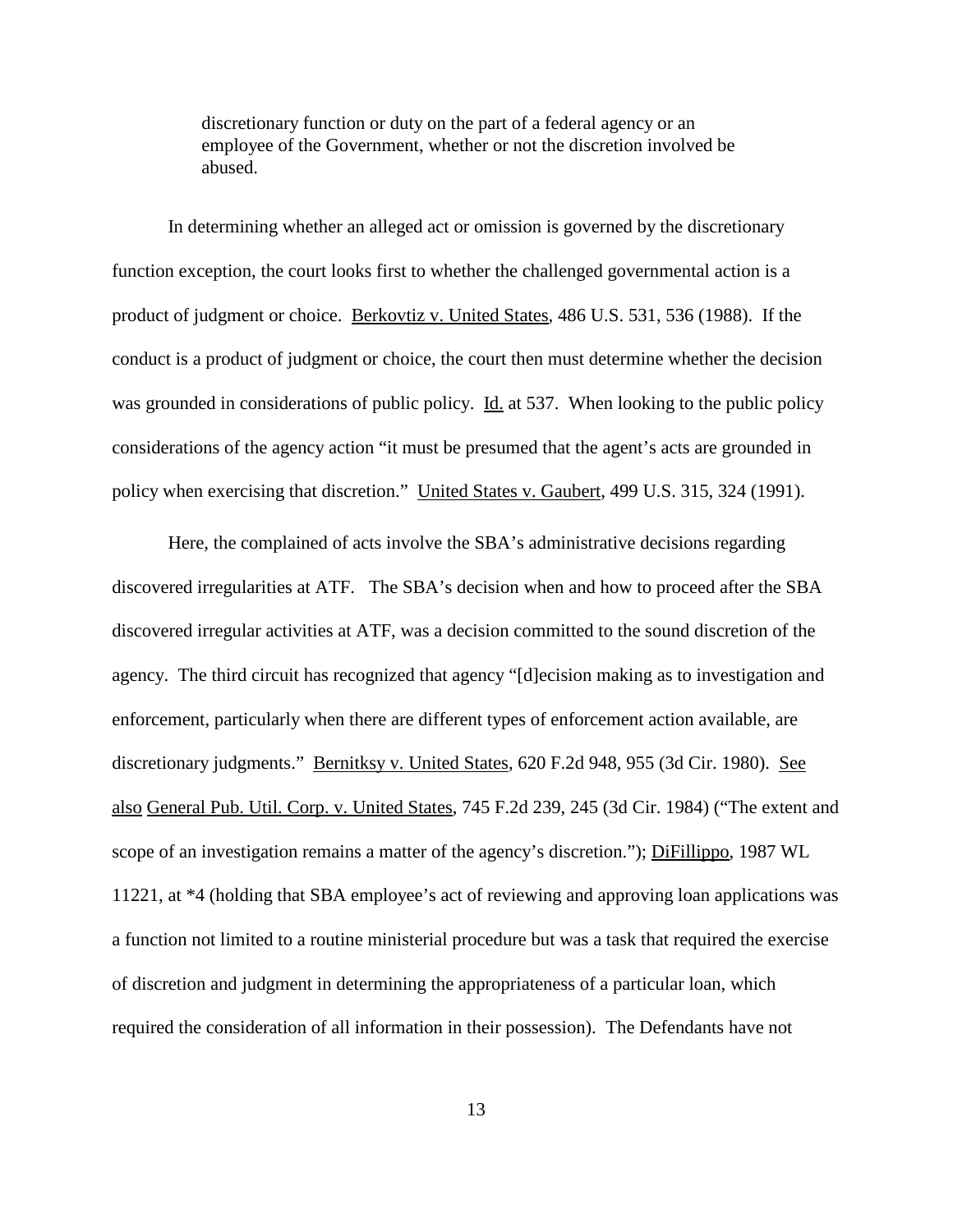discretionary function or duty on the part of a federal agency or an employee of the Government, whether or not the discretion involved be abused.

In determining whether an alleged act or omission is governed by the discretionary function exception, the court looks first to whether the challenged governmental action is a product of judgment or choice. Berkovtiz v. United States, 486 U.S. 531, 536 (1988). If the conduct is a product of judgment or choice, the court then must determine whether the decision was grounded in considerations of public policy. Id. at 537. When looking to the public policy considerations of the agency action "it must be presumed that the agent's acts are grounded in policy when exercising that discretion." United States v. Gaubert, 499 U.S. 315, 324 (1991).

Here, the complained of acts involve the SBA's administrative decisions regarding discovered irregularities at ATF. The SBA's decision when and how to proceed after the SBA discovered irregular activities at ATF, was a decision committed to the sound discretion of the agency. The third circuit has recognized that agency "[d]ecision making as to investigation and enforcement, particularly when there are different types of enforcement action available, are discretionary judgments." Bernitksy v. United States, 620 F.2d 948, 955 (3d Cir. 1980). See also General Pub. Util. Corp. v. United States, 745 F.2d 239, 245 (3d Cir. 1984) ("The extent and scope of an investigation remains a matter of the agency's discretion."); DiFillippo, 1987 WL 11221, at \*4 (holding that SBA employee's act of reviewing and approving loan applications was a function not limited to a routine ministerial procedure but was a task that required the exercise of discretion and judgment in determining the appropriateness of a particular loan, which required the consideration of all information in their possession). The Defendants have not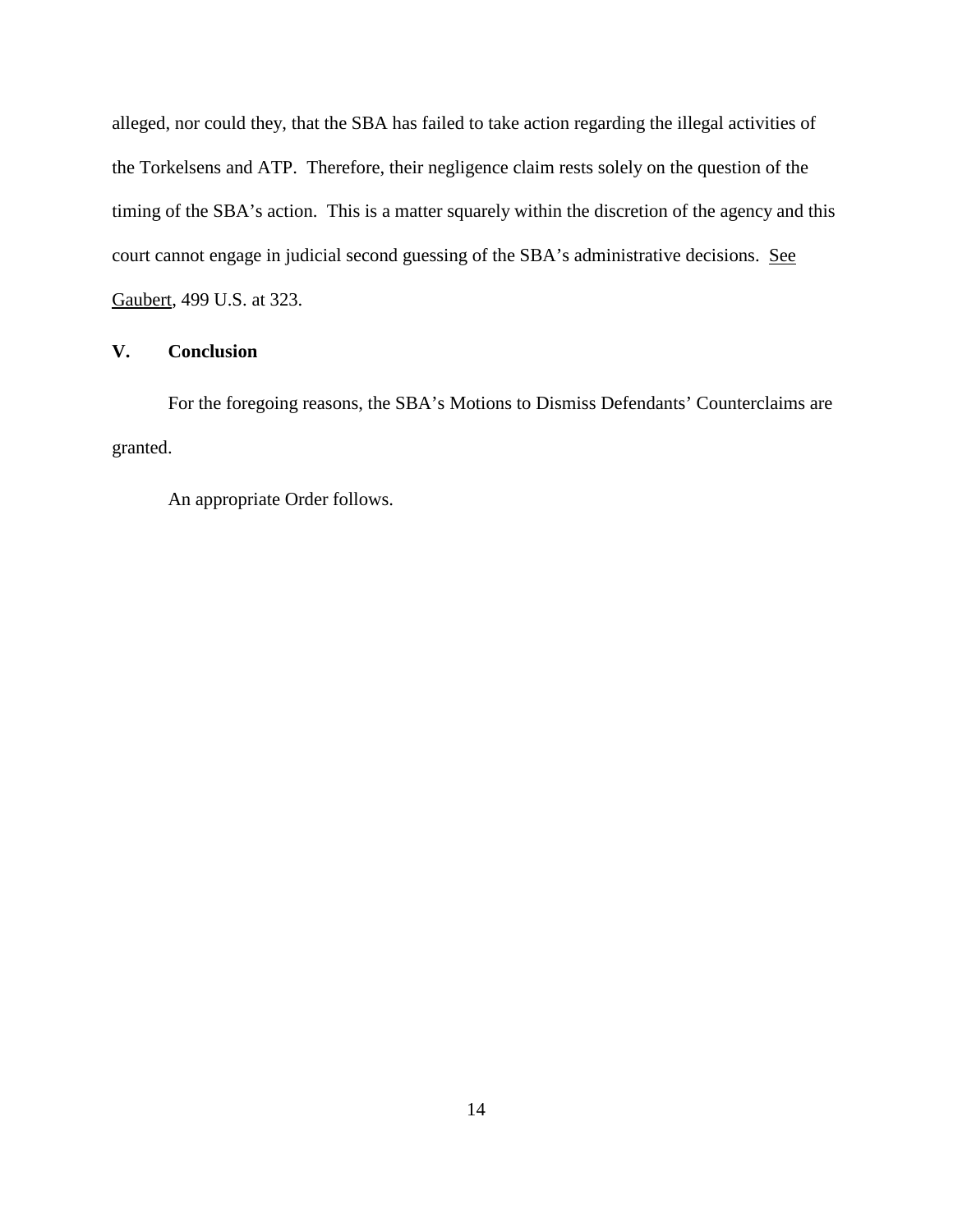alleged, nor could they, that the SBA has failed to take action regarding the illegal activities of the Torkelsens and ATP. Therefore, their negligence claim rests solely on the question of the timing of the SBA's action. This is a matter squarely within the discretion of the agency and this court cannot engage in judicial second guessing of the SBA's administrative decisions. See Gaubert, 499 U.S. at 323.

## **V. Conclusion**

For the foregoing reasons, the SBA's Motions to Dismiss Defendants' Counterclaims are granted.

An appropriate Order follows.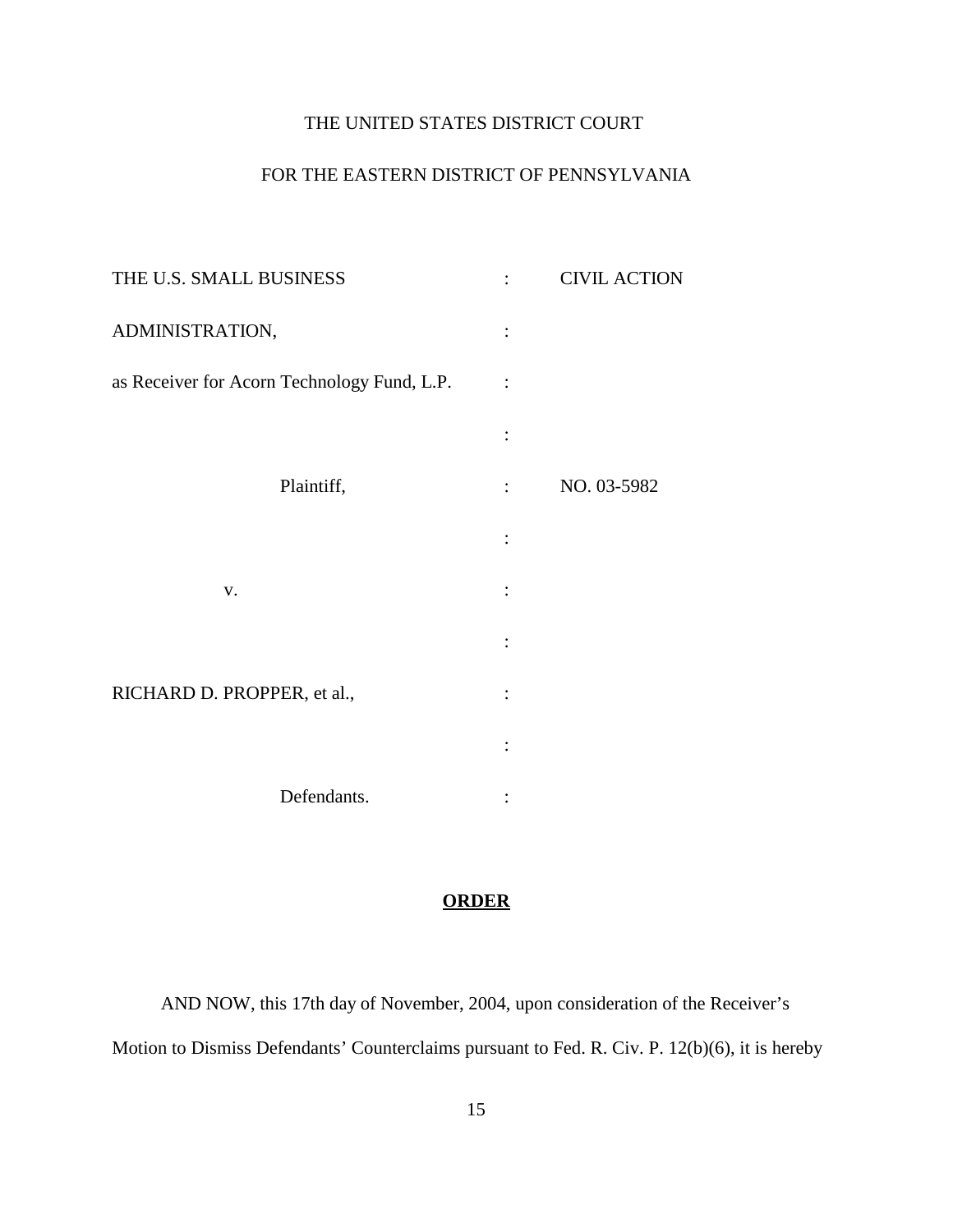# THE UNITED STATES DISTRICT COURT

# FOR THE EASTERN DISTRICT OF PENNSYLVANIA

|                           | <b>CIVIL ACTION</b> |
|---------------------------|---------------------|
|                           |                     |
| $\ddot{\cdot}$            |                     |
|                           |                     |
| $\mathbb{R}^{\mathbb{Z}}$ | NO. 03-5982         |
|                           |                     |
|                           |                     |
|                           |                     |
|                           |                     |
|                           |                     |
|                           |                     |
|                           |                     |

# **ORDER**

AND NOW, this 17th day of November, 2004, upon consideration of the Receiver's Motion to Dismiss Defendants' Counterclaims pursuant to Fed. R. Civ. P. 12(b)(6), it is hereby